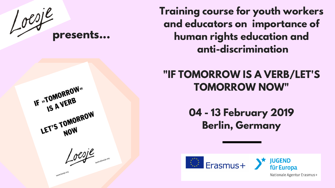**Training course for youth workers and educators on importance of human rights education and anti-discrimination**

### **"IF TOMORROW IS A VERB/LET'S TOMORROW NOW"**

### **04 - 13 February 2019 Berlin, Germany**



Nationale Agentur Erasmus+







IF »TOMORROW" LET'S TOMORROW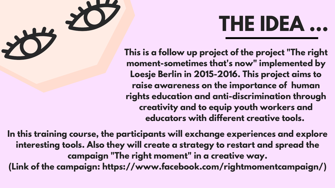# **THE IDEA ...**



THE IDEA...<br>This is a follow up project of the project "The right **moment-sometimes that's now" implemented by Loesje Berlin in 2015-2016. This project aims to raise awareness on the importance of human rights education and anti-discrimination through creativity and to equip youth workers and educators with different creative tools.**

**In this training course, the participants will exchange experiences and explore interesting tools. Also they will create a strategy to restart and spread the campaign "The right moment" in a creative way. (Link of the campaign: https://www.facebook.com/rightmomentcampaign/)**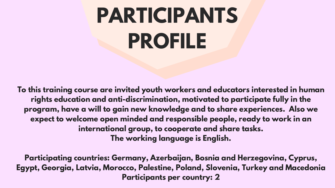**To this training course are invited youth workers and educators interested in human rights education and anti-discrimination, motivated to participate fully in the program, have a will to gain new knowledge and to share experiences. Also we expect to welcome open minded and responsible people, ready to work in an international group, to cooperate and share tasks. The working language is English.**

**Participating countries: Germany, Azerbaijan, Bosnia and Herzegovina, Cyprus, Egypt, Georgia, Latvia, Morocco, Palestine, Poland, Slovenia, Turkey and Macedonia Participants per country: 2**



# **PARTICIPANTS PROFILE**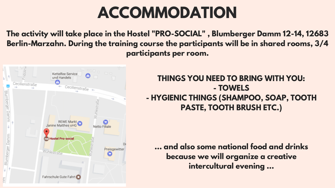## **ACCOMMODATION**

**The activity will take place in the Hostel "PRO-SOCIAL" , Blumberger Damm 12-14, 12683 Berlin-Marzahn. During the training course the participants will be in shared rooms, 3/4 participants per room.**



### **THINGS YOU NEED TO BRING WITH YOU: - TOWELS - HYGIENIC THINGS (SHAMPOO, SOAP, TOOTH PASTE, TOOTH BRUSH ETC.)**

**... and also some national food and drinks because we will organize a creative intercultural evening ...**

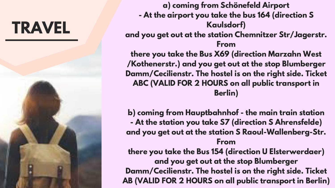



**a) coming from Schönefeld Airport - At the airport you take the bus 164 (direction S Kaulsdorf)**

- 
- **and you get out at the station Chemnitzer Str/Jagerstr. From**
	-

**there you take the Bus X69 (direction Marzahn West /Kothenerstr.) and you get out at the stop Blumberger Damm/Cecilienstr. The hostel is on the right side. Ticket ABC (VALID FOR 2 HOURS on all public transport in Berlin)**

- **b) coming from Hauptbahnhof - the main train station - At the station you take S7 (direction S Ahrensfelde) and you get out at the station S Raoul-Wallenberg-Str. From there you take the Bus 154 (direction U Elsterwerdaer) and you get out at the stop Blumberger**
- **Damm/Cecilienstr. The hostel is on the right side. Ticket AB (VALID FOR 2 HOURS on all public transport in Berlin)**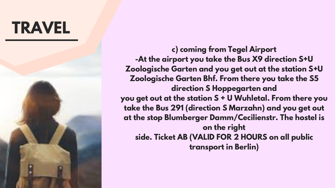



- **c) coming from Tegel Airport**
- **-At the airport you take the Bus X9 direction S+U**
- **Zoologische Garten and you get out at the station S+U Zoologische Garten Bhf. From there you take the S5**
	- **direction S Hoppegarten and**
- **you get out at the station S + U Wuhletal. From there you**
- **take the Bus 291 (direction S Marzahn) and you get out**
- **at the stop Blumberger Damm/Cecilienstr. The hostel is on the right**
	- **side. Ticket AB (VALID FOR 2 HOURS on all public transport in Berlin)**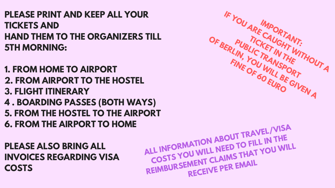**PLEASE PRINT AND KEEP ALL YOUR TICKETS AND HAND THEM TO THE ORGANIZERS TILL 5TH MORNING:**

**1. FROM HOME TO AIRPORT 2. FROM AIRPORT TO THE HOSTEL 3. FLIGHT ITINERARY 4 . BOARDING PASSES (BOTH WAYS) 5. FROM THE HOSTEL TO THE AIRPORT 6. FROM THE AIRPORT TO HOME**

**PLEASE ALSO BRING ALL INVOICES REGARDING VISA COSTS**



## **ALL INFORMATION ABOUT TRAVEL/VISA COSTS YOU WILL NEED TO FILL IN THE REIMBURSEMENT CLAIMS THAT YOU WILL**<br>REIMBURSEMENT CLAIMS THAT YOU WILL **RECEIVE PER EMAIL**